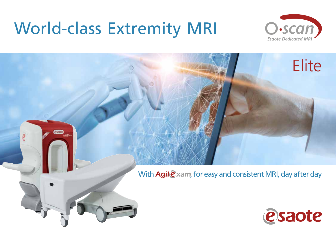# World-class Extremity MRI



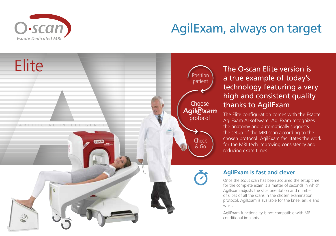

## AgilExam, always on target

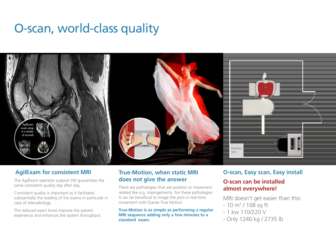### O-scan, world-class quality



#### **AgilExam for consistent MRI**

The AgilExam operator support SW guarantees the same consistent quality day after day.

Consistent quality is important as it facilitates substantially the reading of the exams in particular in case of teleradiology.

The reduced exam times improve the patient experience and enhances the system throughput.

#### **True-Motion, when static MRI does not give the answer**

There are pathologies that are position or movement related like e.g. impingements. For these pathologies it can be beneficial to image the joint in real-time movement with Esaote True Motion.

**True-Motion is as simple as performing a regular MRI sequence adding only a few minutes to a standard exam.**

#### **O-scan, Easy scan, Easy install**

#### **O-scan can be installed almost everywhere!**

MRI doesn't get easier than this:

- 10 m<sup>2</sup> / 108 sq ft<sup>.</sup>
- $-1$  kw 110/220 V
- Only 1240 kg / 2735 lb